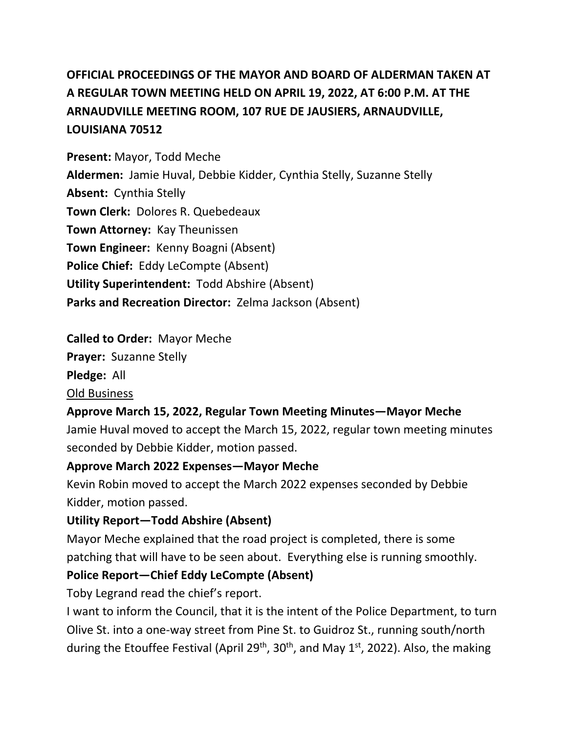# **OFFICIAL PROCEEDINGS OF THE MAYOR AND BOARD OF ALDERMAN TAKEN AT A REGULAR TOWN MEETING HELD ON APRIL 19, 2022, AT 6:00 P.M. AT THE ARNAUDVILLE MEETING ROOM, 107 RUE DE JAUSIERS, ARNAUDVILLE, LOUISIANA 70512**

**Present:** Mayor, Todd Meche **Aldermen:** Jamie Huval, Debbie Kidder, Cynthia Stelly, Suzanne Stelly **Absent:** Cynthia Stelly **Town Clerk:** Dolores R. Quebedeaux **Town Attorney:** Kay Theunissen **Town Engineer:** Kenny Boagni (Absent) **Police Chief:** Eddy LeCompte (Absent) **Utility Superintendent:** Todd Abshire (Absent) **Parks and Recreation Director:** Zelma Jackson (Absent)

### **Called to Order:** Mayor Meche

**Prayer:** Suzanne Stelly

**Pledge:** All

#### Old Business

### **Approve March 15, 2022, Regular Town Meeting Minutes—Mayor Meche**

Jamie Huval moved to accept the March 15, 2022, regular town meeting minutes seconded by Debbie Kidder, motion passed.

### **Approve March 2022 Expenses—Mayor Meche**

Kevin Robin moved to accept the March 2022 expenses seconded by Debbie Kidder, motion passed.

### **Utility Report—Todd Abshire (Absent)**

Mayor Meche explained that the road project is completed, there is some patching that will have to be seen about. Everything else is running smoothly.

### **Police Report—Chief Eddy LeCompte (Absent)**

Toby Legrand read the chief's report.

I want to inform the Council, that it is the intent of the Police Department, to turn Olive St. into a one-way street from Pine St. to Guidroz St., running south/north during the Etouffee Festival (April 29<sup>th</sup>, 30<sup>th</sup>, and May 1<sup>st</sup>, 2022). Also, the making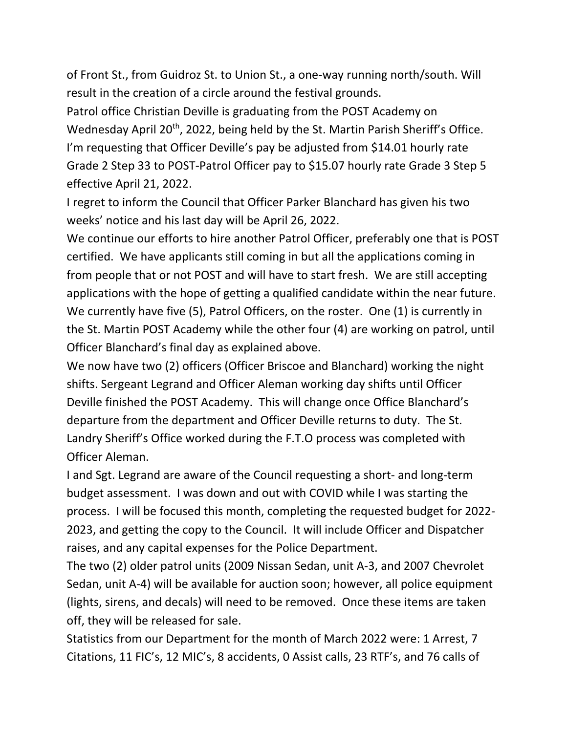of Front St., from Guidroz St. to Union St., a one-way running north/south. Will result in the creation of a circle around the festival grounds.

Patrol office Christian Deville is graduating from the POST Academy on Wednesday April 20<sup>th</sup>, 2022, being held by the St. Martin Parish Sheriff's Office. I'm requesting that Officer Deville's pay be adjusted from \$14.01 hourly rate Grade 2 Step 33 to POST-Patrol Officer pay to \$15.07 hourly rate Grade 3 Step 5 effective April 21, 2022.

I regret to inform the Council that Officer Parker Blanchard has given his two weeks' notice and his last day will be April 26, 2022.

We continue our efforts to hire another Patrol Officer, preferably one that is POST certified. We have applicants still coming in but all the applications coming in from people that or not POST and will have to start fresh. We are still accepting applications with the hope of getting a qualified candidate within the near future. We currently have five (5), Patrol Officers, on the roster. One (1) is currently in the St. Martin POST Academy while the other four (4) are working on patrol, until Officer Blanchard's final day as explained above.

We now have two (2) officers (Officer Briscoe and Blanchard) working the night shifts. Sergeant Legrand and Officer Aleman working day shifts until Officer Deville finished the POST Academy. This will change once Office Blanchard's departure from the department and Officer Deville returns to duty. The St. Landry Sheriff's Office worked during the F.T.O process was completed with Officer Aleman.

I and Sgt. Legrand are aware of the Council requesting a short- and long-term budget assessment. I was down and out with COVID while I was starting the process. I will be focused this month, completing the requested budget for 2022- 2023, and getting the copy to the Council. It will include Officer and Dispatcher raises, and any capital expenses for the Police Department.

The two (2) older patrol units (2009 Nissan Sedan, unit A-3, and 2007 Chevrolet Sedan, unit A-4) will be available for auction soon; however, all police equipment (lights, sirens, and decals) will need to be removed. Once these items are taken off, they will be released for sale.

Statistics from our Department for the month of March 2022 were: 1 Arrest, 7 Citations, 11 FIC's, 12 MIC's, 8 accidents, 0 Assist calls, 23 RTF's, and 76 calls of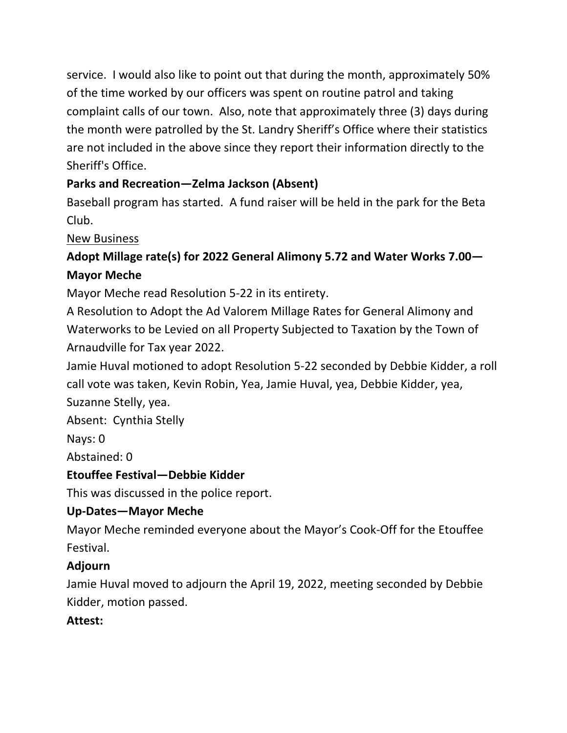service. I would also like to point out that during the month, approximately 50% of the time worked by our officers was spent on routine patrol and taking complaint calls of our town. Also, note that approximately three (3) days during the month were patrolled by the St. Landry Sheriff's Office where their statistics are not included in the above since they report their information directly to the Sheriff's Office.

## **Parks and Recreation—Zelma Jackson (Absent)**

Baseball program has started. A fund raiser will be held in the park for the Beta Club.

### New Business

## **Adopt Millage rate(s) for 2022 General Alimony 5.72 and Water Works 7.00— Mayor Meche**

Mayor Meche read Resolution 5-22 in its entirety.

A Resolution to Adopt the Ad Valorem Millage Rates for General Alimony and Waterworks to be Levied on all Property Subjected to Taxation by the Town of Arnaudville for Tax year 2022.

Jamie Huval motioned to adopt Resolution 5-22 seconded by Debbie Kidder, a roll call vote was taken, Kevin Robin, Yea, Jamie Huval, yea, Debbie Kidder, yea, Suzanne Stelly, yea.

Absent: Cynthia Stelly

Nays: 0

Abstained: 0

## **Etouffee Festival—Debbie Kidder**

This was discussed in the police report.

## **Up-Dates—Mayor Meche**

Mayor Meche reminded everyone about the Mayor's Cook-Off for the Etouffee Festival.

### **Adjourn**

Jamie Huval moved to adjourn the April 19, 2022, meeting seconded by Debbie Kidder, motion passed.

## **Attest:**